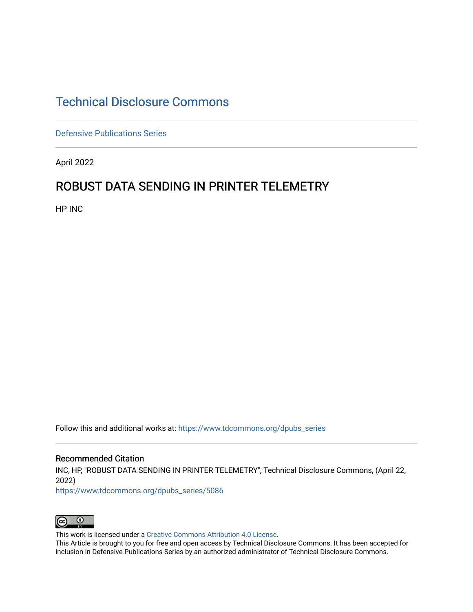# [Technical Disclosure Commons](https://www.tdcommons.org/)

[Defensive Publications Series](https://www.tdcommons.org/dpubs_series)

April 2022

## ROBUST DATA SENDING IN PRINTER TELEMETRY

HP INC

Follow this and additional works at: [https://www.tdcommons.org/dpubs\\_series](https://www.tdcommons.org/dpubs_series?utm_source=www.tdcommons.org%2Fdpubs_series%2F5086&utm_medium=PDF&utm_campaign=PDFCoverPages) 

#### Recommended Citation

INC, HP, "ROBUST DATA SENDING IN PRINTER TELEMETRY", Technical Disclosure Commons, (April 22, 2022)

[https://www.tdcommons.org/dpubs\\_series/5086](https://www.tdcommons.org/dpubs_series/5086?utm_source=www.tdcommons.org%2Fdpubs_series%2F5086&utm_medium=PDF&utm_campaign=PDFCoverPages)



This work is licensed under a [Creative Commons Attribution 4.0 License](http://creativecommons.org/licenses/by/4.0/deed.en_US).

This Article is brought to you for free and open access by Technical Disclosure Commons. It has been accepted for inclusion in Defensive Publications Series by an authorized administrator of Technical Disclosure Commons.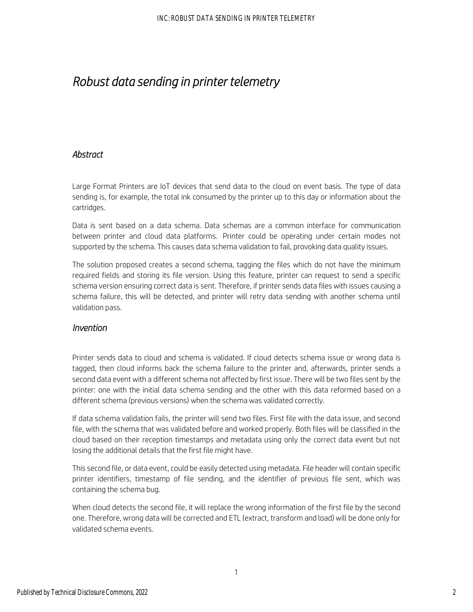# *Robust data sending in printer telemetry*

### *Abstract*

Large Format Printers are IoT devices that send data to the cloud on event basis. The type of data sending is, for example, the total ink consumed by the printer up to this day or information about the cartridges.

Data is sent based on a data schema. Data schemas are a common interface for communication between printer and cloud data platforms. Printer could be operating under certain modes not supported by the schema. This causes data schema validation to fail, provoking data quality issues.

The solution proposed creates a second schema, tagging the files which do not have the minimum required fields and storing its file version. Using this feature, printer can request to send a specific schema version ensuring correct data is sent. Therefore, if printer sends data files with issues causing a schema failure, this will be detected, and printer will retry data sending with another schema until validation pass.

### *Invention*

Printer sends data to cloud and schema is validated. If cloud detects schema issue or wrong data is tagged, then cloud informs back the schema failure to the printer and, afterwards, printer sends a second data event with a different schema not affected by first issue. There will be two files sent by the printer: one with the initial data schema sending and the other with this data reformed based on a different schema (previous versions) when the schema was validated correctly.

If data schema validation fails, the printer will send two files. First file with the data issue, and second file, with the schema that was validated before and worked properly. Both files will be classified in the cloud based on their reception timestamps and metadata using only the correct data event but not losing the additional details that the first file might have.

This second file, or data event, could be easily detected using metadata. File header will contain specific printer identifiers, timestamp of file sending, and the identifier of previous file sent, which was containing the schema bug.

When cloud detects the second file, it will replace the wrong information of the first file by the second one. Therefore, wrong data will be corrected and ETL (extract, transform and load) will be done only for validated schema events.